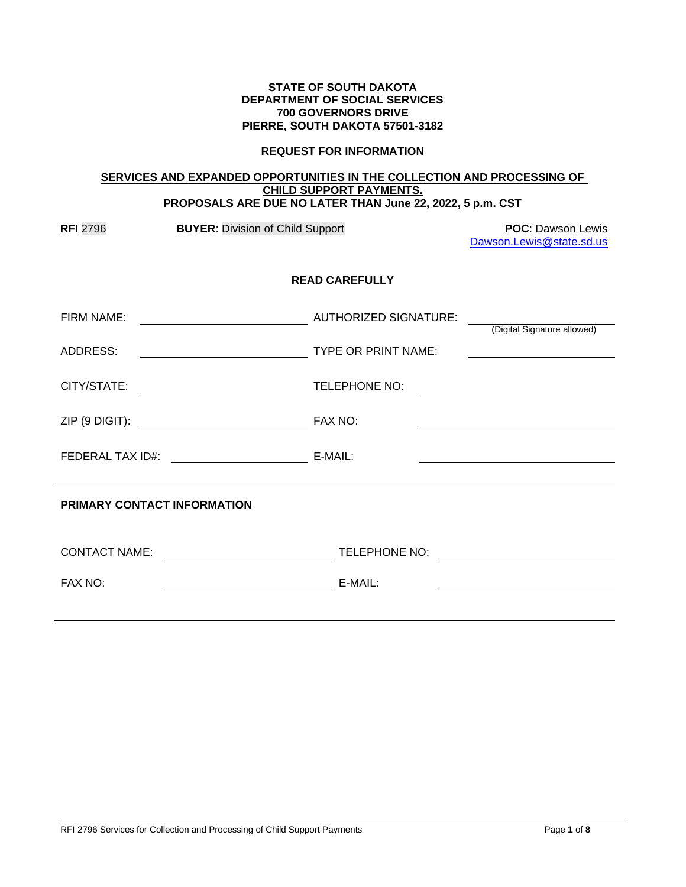### **STATE OF SOUTH DAKOTA DEPARTMENT OF SOCIAL SERVICES 700 GOVERNORS DRIVE PIERRE, SOUTH DAKOTA 57501-3182**

### **REQUEST FOR INFORMATION**

#### **SERVICES AND EXPANDED OPPORTUNITIES IN THE COLLECTION AND PROCESSING OF CHILD SUPPORT PAYMENTS. PROPOSALS ARE DUE NO LATER THAN June 22, 2022, 5 p.m. CST**

| <b>RFI 2796</b>                    | <b>BUYER: Division of Child Support</b>                                                                              |                       | <b>POC: Dawson Lewis</b><br>Dawson.Lewis@state.sd.us                                                                 |  |
|------------------------------------|----------------------------------------------------------------------------------------------------------------------|-----------------------|----------------------------------------------------------------------------------------------------------------------|--|
| <b>READ CAREFULLY</b>              |                                                                                                                      |                       |                                                                                                                      |  |
| FIRM NAME:                         | <u> 1980 - Johann Barn, mars ar breithinn ar breithinn ar breithinn ar breithinn ar breithinn ar breithinn ar br</u> | AUTHORIZED SIGNATURE: | (Digital Signature allowed)                                                                                          |  |
| ADDRESS:                           | TYPE OR PRINT NAME:                                                                                                  |                       |                                                                                                                      |  |
| CITY/STATE:                        | <u> 1980 - Johann Barbara, martin a</u>                                                                              | TELEPHONE NO:         | <u> 1980 - Jan Samuel Barbara, politik eta politik eta politik eta politik eta politik eta politik eta politik e</u> |  |
|                                    |                                                                                                                      |                       |                                                                                                                      |  |
|                                    | FEDERAL TAX ID#: E-MAIL:                                                                                             |                       |                                                                                                                      |  |
| <b>PRIMARY CONTACT INFORMATION</b> |                                                                                                                      |                       |                                                                                                                      |  |
| <b>CONTACT NAME:</b>               | <u> Listen de la componenta</u>                                                                                      | TELEPHONE NO:         | <u> 1989 - Jan Barbarat, prima politik politik (</u>                                                                 |  |
| FAX NO:                            |                                                                                                                      | E-MAIL:               |                                                                                                                      |  |
|                                    |                                                                                                                      |                       |                                                                                                                      |  |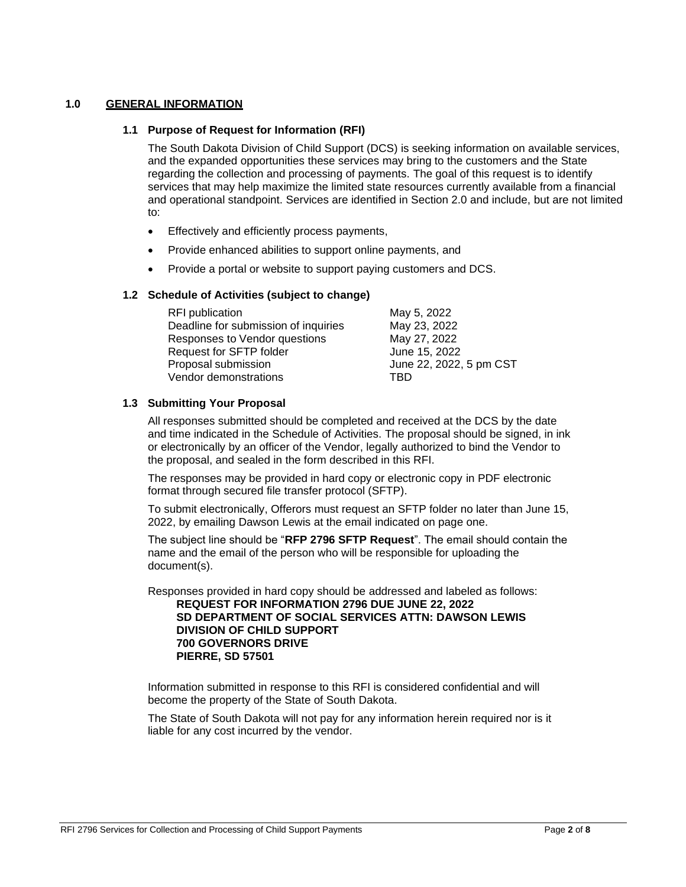# **1.0 GENERAL INFORMATION**

### **1.1 Purpose of Request for Information (RFI)**

The South Dakota Division of Child Support (DCS) is seeking information on available services, and the expanded opportunities these services may bring to the customers and the State regarding the collection and processing of payments. The goal of this request is to identify services that may help maximize the limited state resources currently available from a financial and operational standpoint. Services are identified in Section 2.0 and include, but are not limited to:

- Effectively and efficiently process payments,
- Provide enhanced abilities to support online payments, and
- Provide a portal or website to support paying customers and DCS.

## **1.2 Schedule of Activities (subject to change)**

| <b>RFI</b> publication               | May 5, 2022             |  |
|--------------------------------------|-------------------------|--|
| Deadline for submission of inquiries | May 23, 2022            |  |
| Responses to Vendor questions        | May 27, 2022            |  |
| Request for SFTP folder              | June 15, 2022           |  |
| Proposal submission                  | June 22, 2022, 5 pm CST |  |
| Vendor demonstrations                | TBD                     |  |

## **1.3 Submitting Your Proposal**

All responses submitted should be completed and received at the DCS by the date and time indicated in the Schedule of Activities. The proposal should be signed, in ink or electronically by an officer of the Vendor, legally authorized to bind the Vendor to the proposal, and sealed in the form described in this RFI.

The responses may be provided in hard copy or electronic copy in PDF electronic format through secured file transfer protocol (SFTP).

To submit electronically, Offerors must request an SFTP folder no later than June 15, 2022, by emailing Dawson Lewis at the email indicated on page one.

The subject line should be "**RFP 2796 SFTP Request**". The email should contain the name and the email of the person who will be responsible for uploading the document(s).

Responses provided in hard copy should be addressed and labeled as follows: **REQUEST FOR INFORMATION 2796 DUE JUNE 22, 2022 SD DEPARTMENT OF SOCIAL SERVICES ATTN: DAWSON LEWIS**

# **DIVISION OF CHILD SUPPORT 700 GOVERNORS DRIVE PIERRE, SD 57501**

Information submitted in response to this RFI is considered confidential and will become the property of the State of South Dakota.

The State of South Dakota will not pay for any information herein required nor is it liable for any cost incurred by the vendor.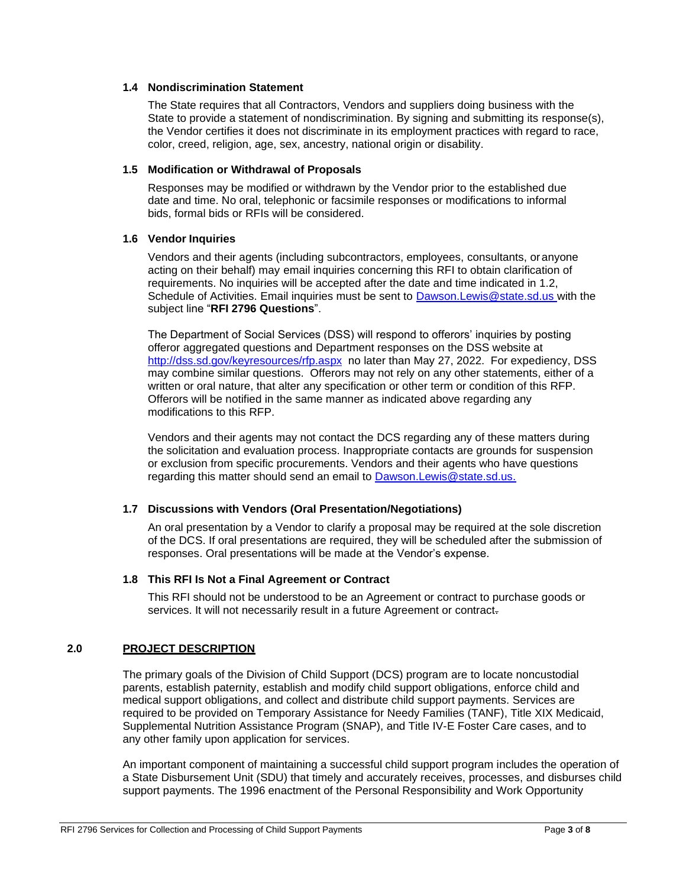## **1.4 Nondiscrimination Statement**

The State requires that all Contractors, Vendors and suppliers doing business with the State to provide a statement of nondiscrimination. By signing and submitting its response(s), the Vendor certifies it does not discriminate in its employment practices with regard to race, color, creed, religion, age, sex, ancestry, national origin or disability.

### **1.5 Modification or Withdrawal of Proposals**

Responses may be modified or withdrawn by the Vendor prior to the established due date and time. No oral, telephonic or facsimile responses or modifications to informal bids, formal bids or RFIs will be considered.

## **1.6 Vendor Inquiries**

Vendors and their agents (including subcontractors, employees, consultants, oranyone acting on their behalf) may email inquiries concerning this RFI to obtain clarification of requirements. No inquiries will be accepted after the date and time indicated in 1.2, Schedule of Activities. Email inquiries must be sent to [Dawson.Lewis@state.sd.us w](mailto:Dawson.Lewis@state.sd.us)ith the subject line "**RFI 2796 Questions**".

The Department of Social Services (DSS) will respond to offerors' inquiries by posting offeror aggregated questions and Department responses on the DSS website at <http://dss.sd.gov/keyresources/rfp.aspx> no later than May 27, 2022. For expediency, DSS may combine similar questions. Offerors may not rely on any other statements, either of a written or oral nature, that alter any specification or other term or condition of this RFP. Offerors will be notified in the same manner as indicated above regarding any modifications to this RFP.

Vendors and their agents may not contact the DCS regarding any of these matters during the solicitation and evaluation process. Inappropriate contacts are grounds for suspension or exclusion from specific procurements. Vendors and their agents who have questions regarding this matter should send an email to [Dawson.Lewis@state.sd.us.](mailto:Dawson.Lewis@state.sd.us.)

# **1.7 Discussions with Vendors (Oral Presentation/Negotiations)**

An oral presentation by a Vendor to clarify a proposal may be required at the sole discretion of the DCS. If oral presentations are required, they will be scheduled after the submission of responses. Oral presentations will be made at the Vendor's expense.

# **1.8 This RFI Is Not a Final Agreement or Contract**

This RFI should not be understood to be an Agreement or contract to purchase goods or services. It will not necessarily result in a future Agreement or contract-

# **2.0 PROJECT DESCRIPTION**

The primary goals of the Division of Child Support (DCS) program are to locate noncustodial parents, establish paternity, establish and modify child support obligations, enforce child and medical support obligations, and collect and distribute child support payments. Services are required to be provided on Temporary Assistance for Needy Families (TANF), Title XIX Medicaid, Supplemental Nutrition Assistance Program (SNAP), and Title IV-E Foster Care cases, and to any other family upon application for services.

An important component of maintaining a successful child support program includes the operation of a State Disbursement Unit (SDU) that timely and accurately receives, processes, and disburses child support payments. The 1996 enactment of the Personal Responsibility and Work Opportunity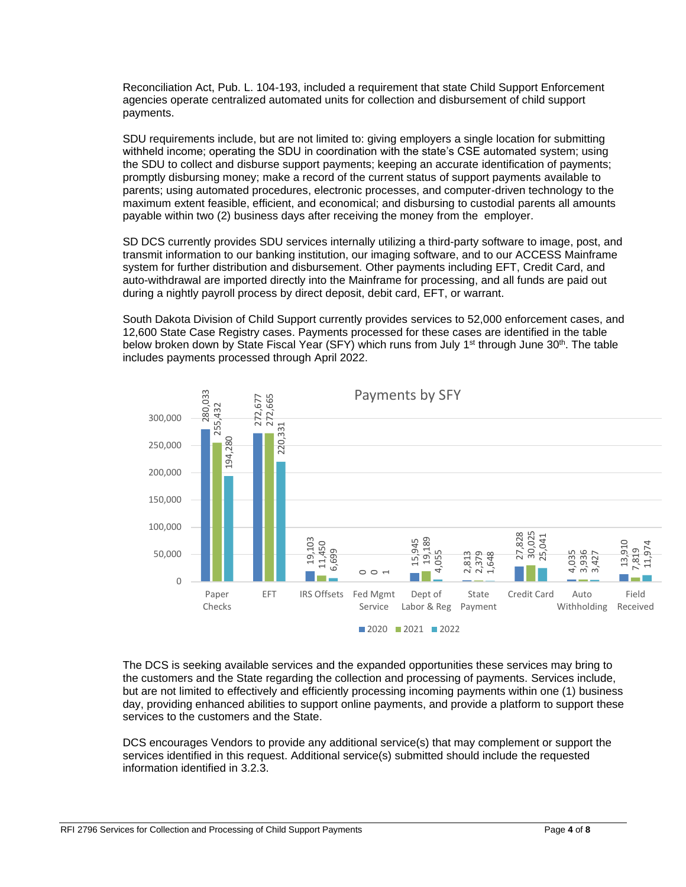Reconciliation Act, Pub. L. 104-193, included a requirement that state Child Support Enforcement agencies operate centralized automated units for collection and disbursement of child support payments.

SDU requirements include, but are not limited to: giving employers a single location for submitting withheld income; operating the SDU in coordination with the state's CSE automated system; using the SDU to collect and disburse support payments; keeping an accurate identification of payments; promptly disbursing money; make a record of the current status of support payments available to parents; using automated procedures, electronic processes, and computer-driven technology to the maximum extent feasible, efficient, and economical; and disbursing to custodial parents all amounts payable within two (2) business days after receiving the money from the employer.

SD DCS currently provides SDU services internally utilizing a third-party software to image, post, and transmit information to our banking institution, our imaging software, and to our ACCESS Mainframe system for further distribution and disbursement. Other payments including EFT, Credit Card, and auto-withdrawal are imported directly into the Mainframe for processing, and all funds are paid out during a nightly payroll process by direct deposit, debit card, EFT, or warrant.

South Dakota Division of Child Support currently provides services to 52,000 enforcement cases, and 12,600 State Case Registry cases. Payments processed for these cases are identified in the table below broken down by State Fiscal Year (SFY) which runs from July 1<sup>st</sup> through June 30<sup>th</sup>. The table includes payments processed through April 2022.



The DCS is seeking available services and the expanded opportunities these services may bring to the customers and the State regarding the collection and processing of payments. Services include, but are not limited to effectively and efficiently processing incoming payments within one (1) business day, providing enhanced abilities to support online payments, and provide a platform to support these services to the customers and the State.

DCS encourages Vendors to provide any additional service(s) that may complement or support the services identified in this request. Additional service(s) submitted should include the requested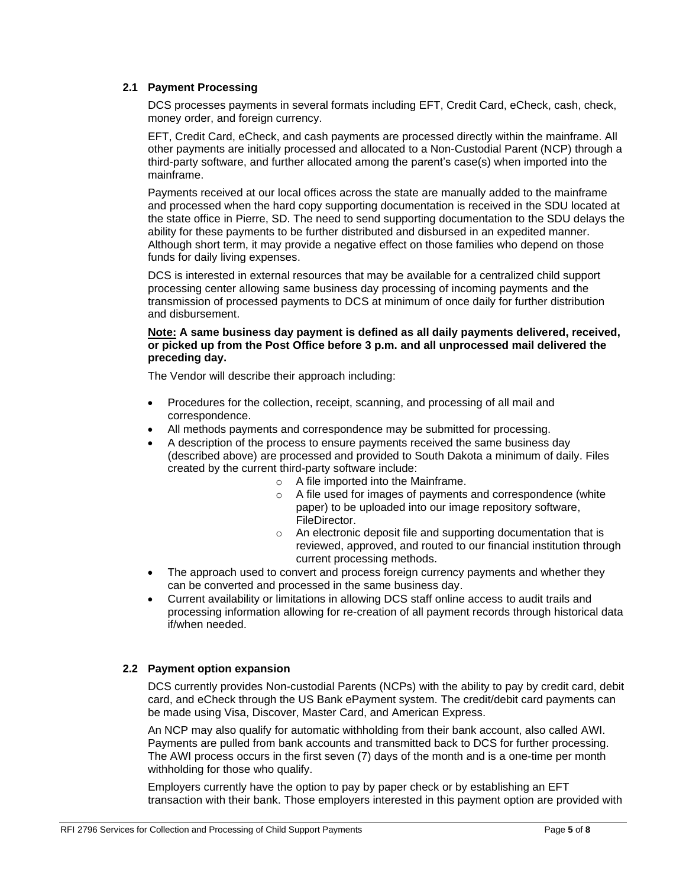## **2.1 Payment Processing**

DCS processes payments in several formats including EFT, Credit Card, eCheck, cash, check, money order, and foreign currency.

EFT, Credit Card, eCheck, and cash payments are processed directly within the mainframe. All other payments are initially processed and allocated to a Non-Custodial Parent (NCP) through a third-party software, and further allocated among the parent's case(s) when imported into the mainframe.

Payments received at our local offices across the state are manually added to the mainframe and processed when the hard copy supporting documentation is received in the SDU located at the state office in Pierre, SD. The need to send supporting documentation to the SDU delays the ability for these payments to be further distributed and disbursed in an expedited manner. Although short term, it may provide a negative effect on those families who depend on those funds for daily living expenses.

DCS is interested in external resources that may be available for a centralized child support processing center allowing same business day processing of incoming payments and the transmission of processed payments to DCS at minimum of once daily for further distribution and disbursement.

## **Note: A same business day payment is defined as all daily payments delivered, received, or picked up from the Post Office before 3 p.m. and all unprocessed mail delivered the preceding day.**

The Vendor will describe their approach including:

- Procedures for the collection, receipt, scanning, and processing of all mail and correspondence.
- All methods payments and correspondence may be submitted for processing.
- A description of the process to ensure payments received the same business day (described above) are processed and provided to South Dakota a minimum of daily. Files created by the current third-party software include:
	- o A file imported into the Mainframe.
	- o A file used for images of payments and correspondence (white paper) to be uploaded into our image repository software, FileDirector.
	- o An electronic deposit file and supporting documentation that is reviewed, approved, and routed to our financial institution through current processing methods.
- The approach used to convert and process foreign currency payments and whether they can be converted and processed in the same business day.
- Current availability or limitations in allowing DCS staff online access to audit trails and processing information allowing for re-creation of all payment records through historical data if/when needed.

# **2.2 Payment option expansion**

DCS currently provides Non-custodial Parents (NCPs) with the ability to pay by credit card, debit card, and eCheck through the US Bank ePayment system. The credit/debit card payments can be made using Visa, Discover, Master Card, and American Express.

An NCP may also qualify for automatic withholding from their bank account, also called AWI. Payments are pulled from bank accounts and transmitted back to DCS for further processing. The AWI process occurs in the first seven (7) days of the month and is a one-time per month withholding for those who qualify.

Employers currently have the option to pay by paper check or by establishing an EFT transaction with their bank. Those employers interested in this payment option are provided with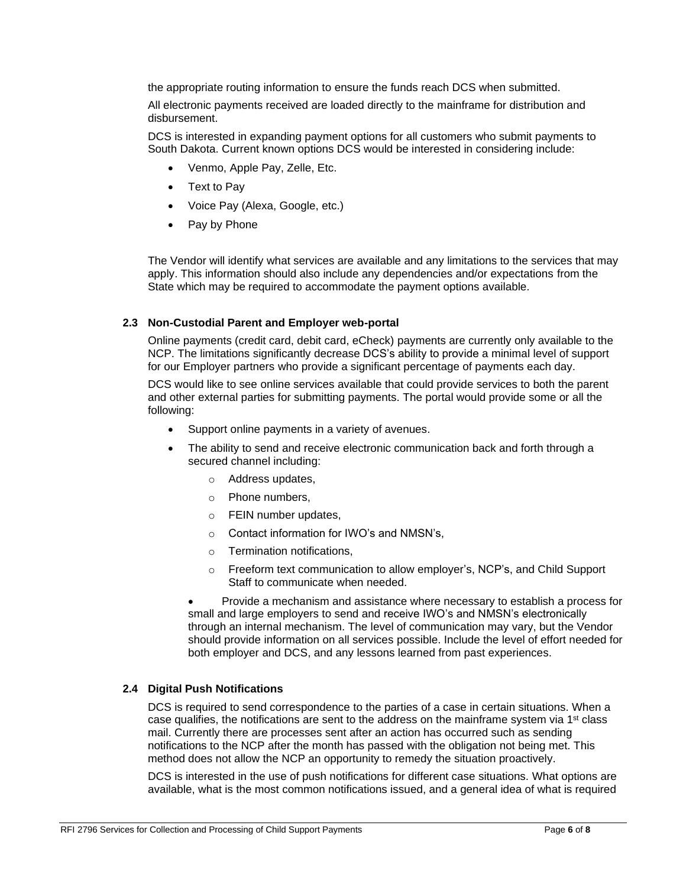the appropriate routing information to ensure the funds reach DCS when submitted.

All electronic payments received are loaded directly to the mainframe for distribution and disbursement.

DCS is interested in expanding payment options for all customers who submit payments to South Dakota. Current known options DCS would be interested in considering include:

- Venmo, Apple Pay, Zelle, Etc.
- Text to Pay
- Voice Pay (Alexa, Google, etc.)
- Pay by Phone

The Vendor will identify what services are available and any limitations to the services that may apply. This information should also include any dependencies and/or expectations from the State which may be required to accommodate the payment options available.

### **2.3 Non-Custodial Parent and Employer web-portal**

Online payments (credit card, debit card, eCheck) payments are currently only available to the NCP. The limitations significantly decrease DCS's ability to provide a minimal level of support for our Employer partners who provide a significant percentage of payments each day.

DCS would like to see online services available that could provide services to both the parent and other external parties for submitting payments. The portal would provide some or all the following:

- Support online payments in a variety of avenues.
- The ability to send and receive electronic communication back and forth through a secured channel including:
	- o Address updates,
	- o Phone numbers,
	- o FEIN number updates,
	- o Contact information for IWO's and NMSN's,
	- o Termination notifications,
	- o Freeform text communication to allow employer's, NCP's, and Child Support Staff to communicate when needed.

• Provide a mechanism and assistance where necessary to establish a process for small and large employers to send and receive IWO's and NMSN's electronically through an internal mechanism. The level of communication may vary, but the Vendor should provide information on all services possible. Include the level of effort needed for both employer and DCS, and any lessons learned from past experiences.

### **2.4 Digital Push Notifications**

DCS is required to send correspondence to the parties of a case in certain situations. When a case qualifies, the notifications are sent to the address on the mainframe system via  $1<sup>st</sup>$  class mail. Currently there are processes sent after an action has occurred such as sending notifications to the NCP after the month has passed with the obligation not being met. This method does not allow the NCP an opportunity to remedy the situation proactively.

DCS is interested in the use of push notifications for different case situations. What options are available, what is the most common notifications issued, and a general idea of what is required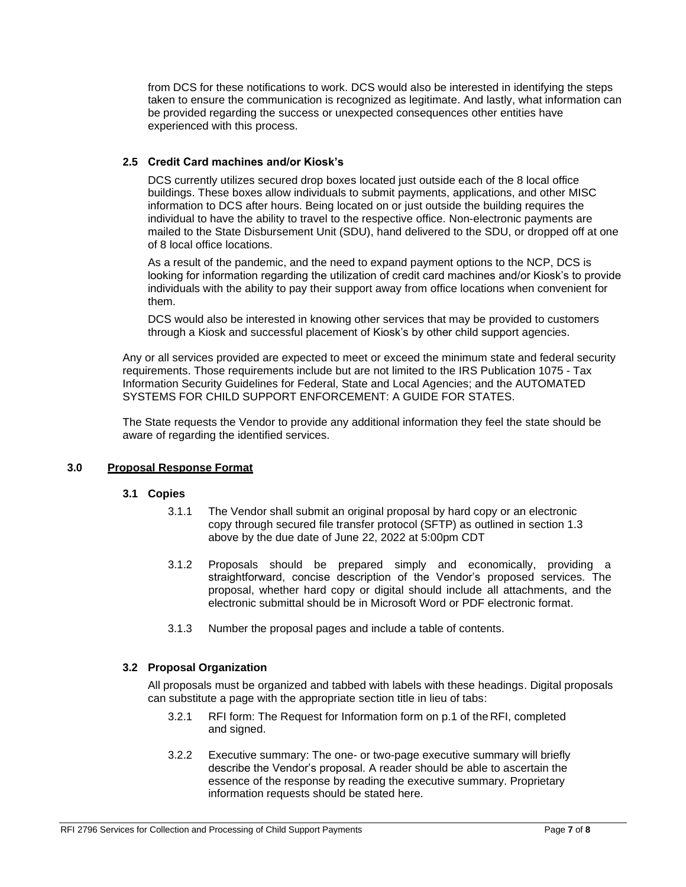from DCS for these notifications to work. DCS would also be interested in identifying the steps taken to ensure the communication is recognized as legitimate. And lastly, what information can be provided regarding the success or unexpected consequences other entities have experienced with this process.

### **2.5 Credit Card machines and/or Kiosk's**

DCS currently utilizes secured drop boxes located just outside each of the 8 local office buildings. These boxes allow individuals to submit payments, applications, and other MISC information to DCS after hours. Being located on or just outside the building requires the individual to have the ability to travel to the respective office. Non-electronic payments are mailed to the State Disbursement Unit (SDU), hand delivered to the SDU, or dropped off at one of 8 local office locations.

As a result of the pandemic, and the need to expand payment options to the NCP, DCS is looking for information regarding the utilization of credit card machines and/or Kiosk's to provide individuals with the ability to pay their support away from office locations when convenient for them.

DCS would also be interested in knowing other services that may be provided to customers through a Kiosk and successful placement of Kiosk's by other child support agencies.

Any or all services provided are expected to meet or exceed the minimum state and federal security requirements. Those requirements include but are not limited to the IRS Publication 1075 - Tax Information Security Guidelines for Federal, State and Local Agencies; and the AUTOMATED SYSTEMS FOR CHILD SUPPORT ENFORCEMENT: A GUIDE FOR STATES.

The State requests the Vendor to provide any additional information they feel the state should be aware of regarding the identified services.

### **3.0 Proposal Response Format**

### **3.1 Copies**

- 3.1.1 The Vendor shall submit an original proposal by hard copy or an electronic copy through secured file transfer protocol (SFTP) as outlined in section 1.3 above by the due date of June 22, 2022 at 5:00pm CDT
- 3.1.2 Proposals should be prepared simply and economically, providing a straightforward, concise description of the Vendor's proposed services. The proposal, whether hard copy or digital should include all attachments, and the electronic submittal should be in Microsoft Word or PDF electronic format.
- 3.1.3 Number the proposal pages and include a table of contents.

### **3.2 Proposal Organization**

All proposals must be organized and tabbed with labels with these headings. Digital proposals can substitute a page with the appropriate section title in lieu of tabs:

- 3.2.1 RFI form: The Request for Information form on p.1 of the RFI, completed and signed.
- 3.2.2 Executive summary: The one- or two-page executive summary will briefly describe the Vendor's proposal. A reader should be able to ascertain the essence of the response by reading the executive summary. Proprietary information requests should be stated here.